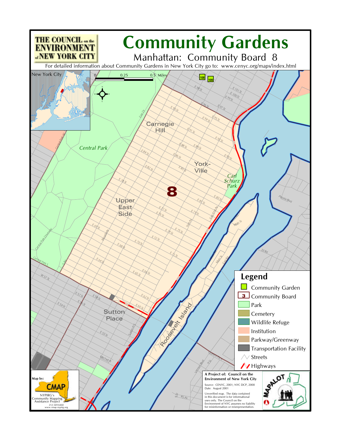